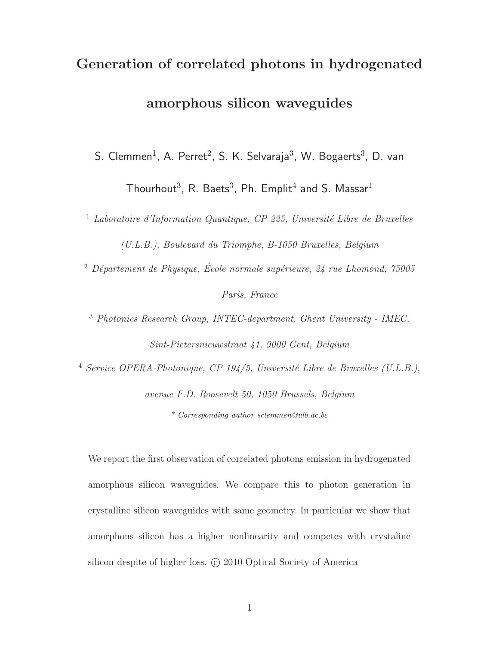# Generation of correlated photons in hydrogenated amorphous silicon waveguides

S. Clemmen<sup>1</sup>, A. Perret<sup>2</sup>, S. K. Selvaraja<sup>3</sup>, W. Bogaerts<sup>3</sup>, D. van

Thourhout<sup>3</sup>, R. Baets<sup>3</sup>, Ph. Emplit<sup>4</sup> and S. Massar<sup>1</sup>

 $1$  Laboratoire d'Information Quantique, CP 225, Université Libre de Bruxelles (U.L.B.), Boulevard du Triomphe, B-1050 Bruxelles, Belgium

<sup>2</sup> Département de Physique, École normale supérieure,  $24$  rue Lhomond,  $75005$ Paris, France

<sup>3</sup> Photonics Research Group, INTEC-department, Ghent University - IMEC, Sint-Pietersnieuwstraat 41, 9000 Gent, Belgium

<sup>4</sup> Service OPERA-Photonique, CP 194/5, Université Libre de Bruxelles (U.L.B.),

avenue F.D. Roosevelt 50, 1050 Brussels, Belgium \* Corresponding author sclemmen@ulb.ac.be

We report the first observation of correlated photons emission in hydrogenated amorphous silicon waveguides. We compare this to photon generation in crystalline silicon waveguides with same geometry. In particular we show that amorphous silicon has a higher nonlinearity and competes with crystaline silicon despite of higher loss. © 2010 Optical Society of America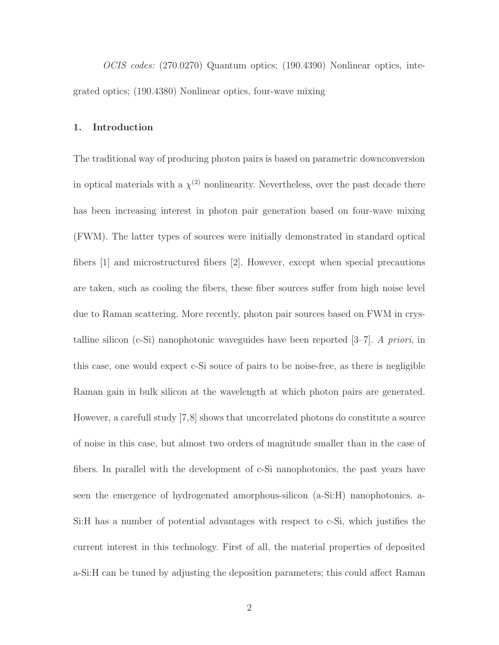OCIS codes: (270.0270) Quantum optics; (190.4390) Nonlinear optics, integrated optics; (190.4380) Nonlinear optics, four-wave mixing

### 1. Introduction

The traditional way of producing photon pairs is based on parametric downconversion in optical materials with a  $\chi^{(2)}$  nonlinearity. Nevertheless, over the past decade there has been increasing interest in photon pair generation based on four-wave mixing (FWM). The latter types of sources were initially demonstrated in standard optical fibers [1] and microstructured fibers [2]. However, except when special precautions are taken, such as cooling the fibers, these fiber sources suffer from high noise level due to Raman scattering. More recently, photon pair sources based on FWM in crystalline silicon (c-Si) nanophotonic waveguides have been reported  $[3–7]$ . A priori, in this case, one would expect c-Si souce of pairs to be noise-free, as there is negligible Raman gain in bulk silicon at the wavelength at which photon pairs are generated. However, a carefull study [7,8] shows that uncorrelated photons do constitute a source of noise in this case, but almost two orders of magnitude smaller than in the case of fibers. In parallel with the development of c-Si nanophotonics, the past years have seen the emergence of hydrogenated amorphous-silicon (a-Si:H) nanophotonics. a-Si:H has a number of potential advantages with respect to c-Si, which justifies the current interest in this technology. First of all, the material properties of deposited a-Si:H can be tuned by adjusting the deposition parameters; this could affect Raman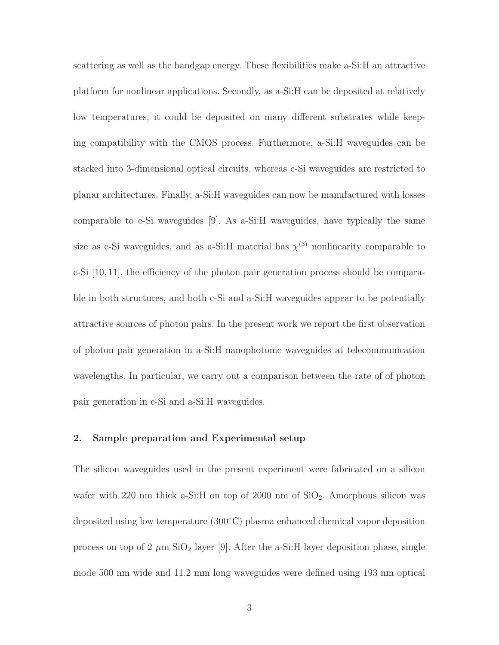scattering as well as the bandgap energy. These flexibilities make a-Si:H an attractive platform for nonlinear applications. Secondly, as a-Si:H can be deposited at relatively low temperatures, it could be deposited on many different substrates while keeping compatibility with the CMOS process. Furthermore, a-Si:H waveguides can be stacked into 3-dimensional optical circuits, whereas c-Si waveguides are restricted to planar architectures. Finally, a-Si:H waveguides can now be manufactured with losses comparable to c-Si waveguides [9]. As a-Si:H waveguides, have typically the same size as c-Si waveguides, and as a-Si:H material has  $\chi^{(3)}$  nonlinearity comparable to c-Si [10, 11], the efficiency of the photon pair generation process should be comparable in both structures, and both c-Si and a-Si:H waveguides appear to be potentially attractive sources of photon pairs. In the present work we report the first observation of photon pair generation in a-Si:H nanophotonic waveguides at telecommunication wavelengths. In particular, we carry out a comparison between the rate of of photon pair generation in c-Si and a-Si:H waveguides.

# 2. Sample preparation and Experimental setup

The silicon waveguides used in the present experiment were fabricated on a silicon wafer with 220 nm thick a-Si:H on top of 2000 nm of  $SiO<sub>2</sub>$ . Amorphous silicon was deposited using low temperature (300◦C) plasma enhanced chemical vapor deposition process on top of 2  $\mu$ m SiO<sub>2</sub> layer [9]. After the a-Si:H layer deposition phase, single mode 500 nm wide and 11.2 mm long waveguides were defined using 193 nm optical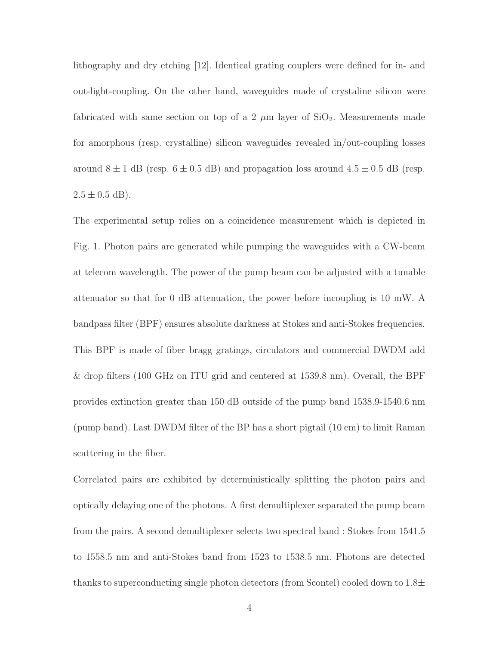lithography and dry etching [12]. Identical grating couplers were defined for in- and out-light-coupling. On the other hand, waveguides made of crystaline silicon were fabricated with same section on top of a 2  $\mu$ m layer of SiO<sub>2</sub>. Measurements made for amorphous (resp. crystalline) silicon waveguides revealed in/out-coupling losses around  $8 \pm 1$  dB (resp.  $6 \pm 0.5$  dB) and propagation loss around  $4.5 \pm 0.5$  dB (resp.  $2.5 \pm 0.5$  dB).

The experimental setup relies on a coincidence measurement which is depicted in Fig. 1. Photon pairs are generated while pumping the waveguides with a CW-beam at telecom wavelength. The power of the pump beam can be adjusted with a tunable attenuator so that for 0 dB attenuation, the power before incoupling is 10 mW. A bandpass filter (BPF) ensures absolute darkness at Stokes and anti-Stokes frequencies. This BPF is made of fiber bragg gratings, circulators and commercial DWDM add & drop filters (100 GHz on ITU grid and centered at 1539.8 nm). Overall, the BPF provides extinction greater than 150 dB outside of the pump band 1538.9-1540.6 nm (pump band). Last DWDM filter of the BP has a short pigtail (10 cm) to limit Raman scattering in the fiber.

Correlated pairs are exhibited by deterministically splitting the photon pairs and optically delaying one of the photons. A first demultiplexer separated the pump beam from the pairs. A second demultiplexer selects two spectral band : Stokes from 1541.5 to 1558.5 nm and anti-Stokes band from 1523 to 1538.5 nm. Photons are detected thanks to superconducting single photon detectors (from Scontel) cooled down to  $1.8\pm$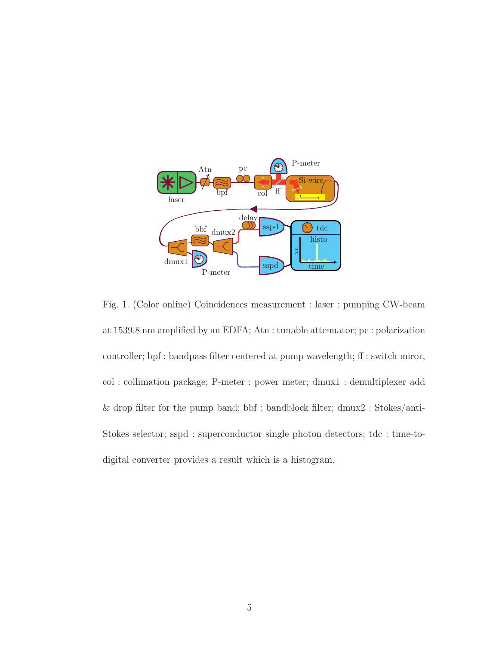

Fig. 1. (Color online) Coincidences measurement : laser : pumping CW-beam at 1539.8 nm amplified by an EDFA; Atn : tunable attenuator; pc : polarization controller; bpf : bandpass filter centered at pump wavelength; ff : switch miror, col : collimation package; P-meter : power meter; dmux1 : demultiplexer add & drop filter for the pump band; bbf : bandblock filter; dmux2 : Stokes/anti-Stokes selector; sspd : superconductor single photon detectors; tdc : time-todigital converter provides a result which is a histogram.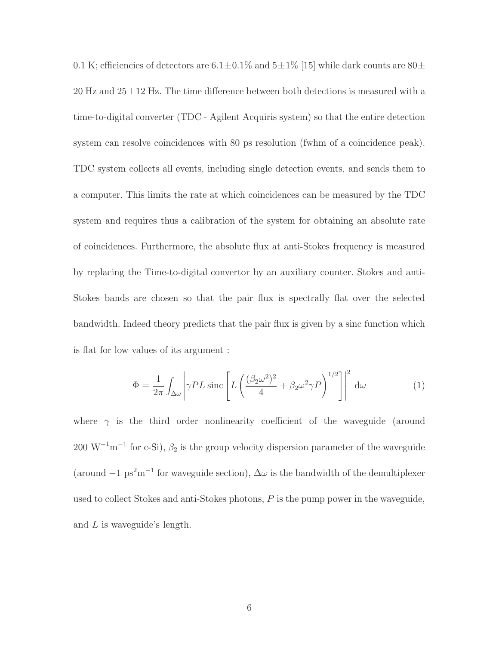0.1 K; efficiencies of detectors are  $6.1 \pm 0.1\%$  and  $5 \pm 1\%$  [15] while dark counts are  $80 \pm$ 20 Hz and  $25\pm12$  Hz. The time difference between both detections is measured with a time-to-digital converter (TDC - Agilent Acquiris system) so that the entire detection system can resolve coincidences with 80 ps resolution (fwhm of a coincidence peak). TDC system collects all events, including single detection events, and sends them to a computer. This limits the rate at which coincidences can be measured by the TDC system and requires thus a calibration of the system for obtaining an absolute rate of coincidences. Furthermore, the absolute flux at anti-Stokes frequency is measured by replacing the Time-to-digital convertor by an auxiliary counter. Stokes and anti-Stokes bands are chosen so that the pair flux is spectrally flat over the selected bandwidth. Indeed theory predicts that the pair flux is given by a sinc function which is flat for low values of its argument :

$$
\Phi = \frac{1}{2\pi} \int_{\Delta\omega} \left| \gamma P L \operatorname{sinc} \left[ L \left( \frac{(\beta_2 \omega^2)^2}{4} + \beta_2 \omega^2 \gamma P \right)^{1/2} \right] \right|^2 d\omega \tag{1}
$$

where  $\gamma$  is the third order nonlinearity coefficient of the waveguide (around 200 W<sup>-1</sup>m<sup>-1</sup> for c-Si),  $\beta_2$  is the group velocity dispersion parameter of the waveguide (around  $-1 \text{ ps}^2 \text{m}^{-1}$  for waveguide section),  $\Delta \omega$  is the bandwidth of the demultiplexer used to collect Stokes and anti-Stokes photons, P is the pump power in the waveguide, and L is waveguide's length.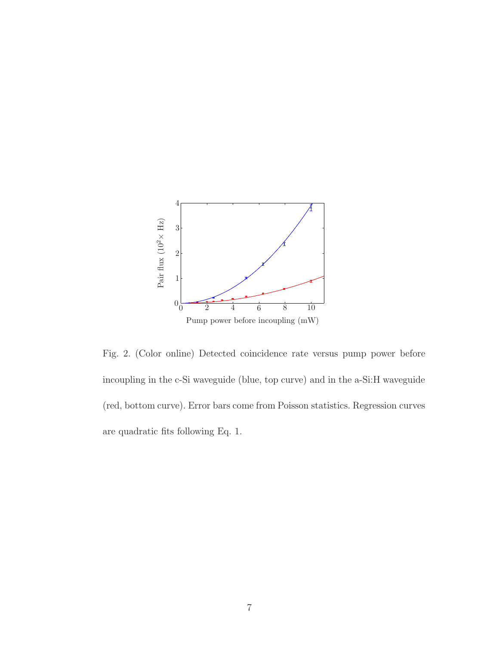

Fig. 2. (Color online) Detected coincidence rate versus pump power before incoupling in the c-Si waveguide (blue, top curve) and in the a-Si:H waveguide (red, bottom curve). Error bars come from Poisson statistics. Regression curves are quadratic fits following Eq. 1.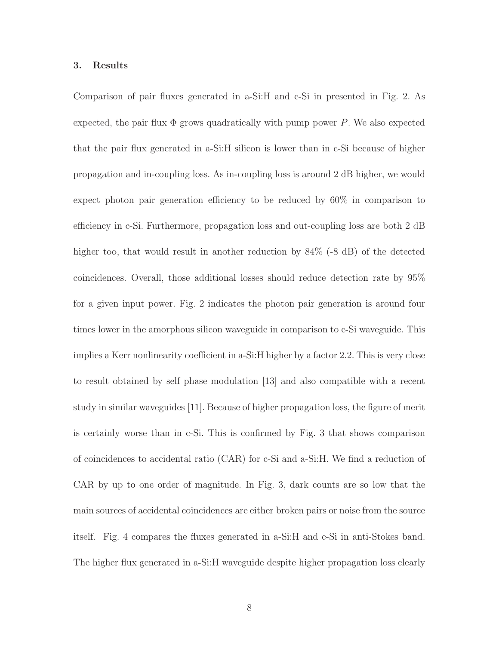#### 3. Results

Comparison of pair fluxes generated in a-Si:H and c-Si in presented in Fig. 2. As expected, the pair flux  $\Phi$  grows quadratically with pump power P. We also expected that the pair flux generated in a-Si:H silicon is lower than in c-Si because of higher propagation and in-coupling loss. As in-coupling loss is around 2 dB higher, we would expect photon pair generation efficiency to be reduced by 60% in comparison to efficiency in c-Si. Furthermore, propagation loss and out-coupling loss are both 2 dB higher too, that would result in another reduction by  $84\%$  (-8 dB) of the detected coincidences. Overall, those additional losses should reduce detection rate by 95% for a given input power. Fig. 2 indicates the photon pair generation is around four times lower in the amorphous silicon waveguide in comparison to c-Si waveguide. This implies a Kerr nonlinearity coefficient in a-Si:H higher by a factor 2.2. This is very close to result obtained by self phase modulation [13] and also compatible with a recent study in similar waveguides [11]. Because of higher propagation loss, the figure of merit is certainly worse than in c-Si. This is confirmed by Fig. 3 that shows comparison of coincidences to accidental ratio (CAR) for c-Si and a-Si:H. We find a reduction of CAR by up to one order of magnitude. In Fig. 3, dark counts are so low that the main sources of accidental coincidences are either broken pairs or noise from the source itself. Fig. 4 compares the fluxes generated in a-Si:H and c-Si in anti-Stokes band. The higher flux generated in a-Si:H waveguide despite higher propagation loss clearly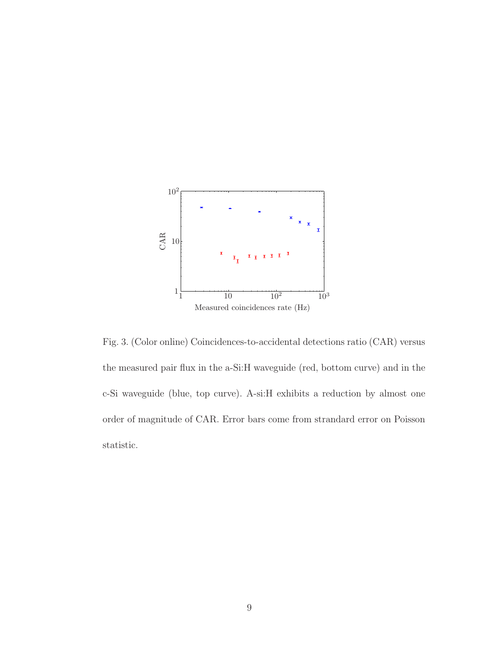

Fig. 3. (Color online) Coincidences-to-accidental detections ratio (CAR) versus the measured pair flux in the a-Si:H waveguide (red, bottom curve) and in the c-Si waveguide (blue, top curve). A-si:H exhibits a reduction by almost one order of magnitude of CAR. Error bars come from strandard error on Poisson statistic.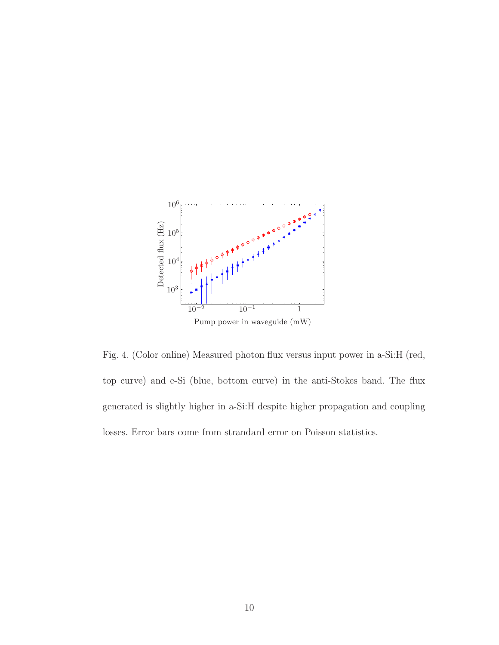

Fig. 4. (Color online) Measured photon flux versus input power in a-Si:H (red, top curve) and c-Si (blue, bottom curve) in the anti-Stokes band. The flux generated is slightly higher in a-Si:H despite higher propagation and coupling losses. Error bars come from strandard error on Poisson statistics.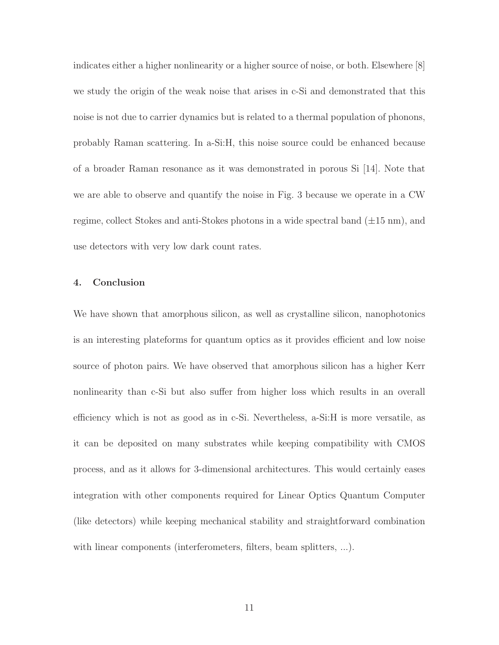indicates either a higher nonlinearity or a higher source of noise, or both. Elsewhere [8] we study the origin of the weak noise that arises in c-Si and demonstrated that this noise is not due to carrier dynamics but is related to a thermal population of phonons, probably Raman scattering. In a-Si:H, this noise source could be enhanced because of a broader Raman resonance as it was demonstrated in porous Si [14]. Note that we are able to observe and quantify the noise in Fig. 3 because we operate in a CW regime, collect Stokes and anti-Stokes photons in a wide spectral band  $(\pm 15 \text{ nm})$ , and use detectors with very low dark count rates.

# 4. Conclusion

We have shown that amorphous silicon, as well as crystalline silicon, nanophotonics is an interesting plateforms for quantum optics as it provides efficient and low noise source of photon pairs. We have observed that amorphous silicon has a higher Kerr nonlinearity than c-Si but also suffer from higher loss which results in an overall efficiency which is not as good as in c-Si. Nevertheless, a-Si:H is more versatile, as it can be deposited on many substrates while keeping compatibility with CMOS process, and as it allows for 3-dimensional architectures. This would certainly eases integration with other components required for Linear Optics Quantum Computer (like detectors) while keeping mechanical stability and straightforward combination with linear components (interferometers, filters, beam splitters, ...).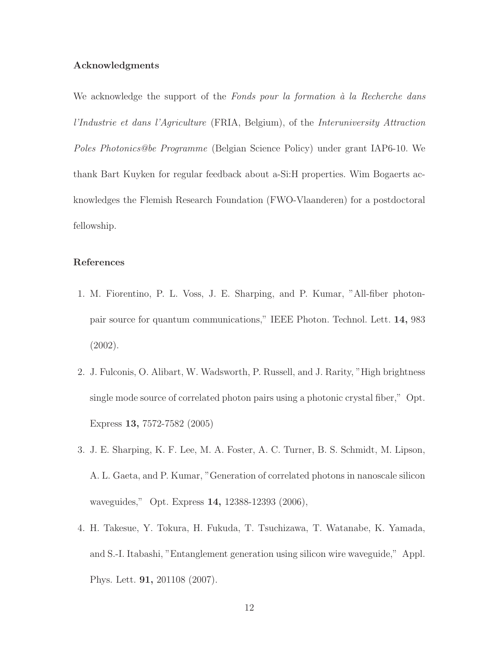# Acknowledgments

We acknowledge the support of the Fonds pour la formation  $\hat{a}$  la Recherche dans l'Industrie et dans l'Agriculture (FRIA, Belgium), of the Interuniversity Attraction Poles Photonics@be Programme (Belgian Science Policy) under grant IAP6-10. We thank Bart Kuyken for regular feedback about a-Si:H properties. Wim Bogaerts acknowledges the Flemish Research Foundation (FWO-Vlaanderen) for a postdoctoral fellowship.

## References

- 1. M. Fiorentino, P. L. Voss, J. E. Sharping, and P. Kumar, "All-fiber photonpair source for quantum communications," IEEE Photon. Technol. Lett. 14, 983 (2002).
- 2. J. Fulconis, O. Alibart, W. Wadsworth, P. Russell, and J. Rarity, "High brightness single mode source of correlated photon pairs using a photonic crystal fiber," Opt. Express 13, 7572-7582 (2005)
- 3. J. E. Sharping, K. F. Lee, M. A. Foster, A. C. Turner, B. S. Schmidt, M. Lipson, A. L. Gaeta, and P. Kumar, "Generation of correlated photons in nanoscale silicon waveguides," Opt. Express 14, 12388-12393 (2006),
- 4. H. Takesue, Y. Tokura, H. Fukuda, T. Tsuchizawa, T. Watanabe, K. Yamada, and S.-I. Itabashi, "Entanglement generation using silicon wire waveguide," Appl. Phys. Lett. 91, 201108 (2007).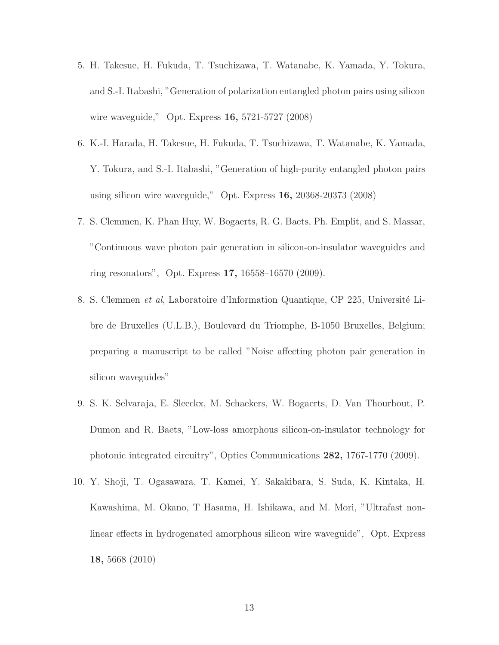- 5. H. Takesue, H. Fukuda, T. Tsuchizawa, T. Watanabe, K. Yamada, Y. Tokura, and S.-I. Itabashi, "Generation of polarization entangled photon pairs using silicon wire waveguide," Opt. Express 16, 5721-5727 (2008)
- 6. K.-I. Harada, H. Takesue, H. Fukuda, T. Tsuchizawa, T. Watanabe, K. Yamada, Y. Tokura, and S.-I. Itabashi, "Generation of high-purity entangled photon pairs using silicon wire waveguide," Opt. Express 16, 20368-20373 (2008)
- 7. S. Clemmen, K. Phan Huy, W. Bogaerts, R. G. Baets, Ph. Emplit, and S. Massar, "Continuous wave photon pair generation in silicon-on-insulator waveguides and ring resonators", Opt. Express 17, 16558–16570 (2009).
- 8. S. Clemmen et al, Laboratoire d'Information Quantique, CP 225, Université Libre de Bruxelles (U.L.B.), Boulevard du Triomphe, B-1050 Bruxelles, Belgium; preparing a manuscript to be called "Noise affecting photon pair generation in silicon waveguides"
- 9. S. K. Selvaraja, E. Sleeckx, M. Schaekers, W. Bogaerts, D. Van Thourhout, P. Dumon and R. Baets, "Low-loss amorphous silicon-on-insulator technology for photonic integrated circuitry", Optics Communications 282, 1767-1770 (2009).
- 10. Y. Shoji, T. Ogasawara, T. Kamei, Y. Sakakibara, S. Suda, K. Kintaka, H. Kawashima, M. Okano, T Hasama, H. Ishikawa, and M. Mori, "Ultrafast nonlinear effects in hydrogenated amorphous silicon wire waveguide", Opt. Express 18, 5668 (2010)